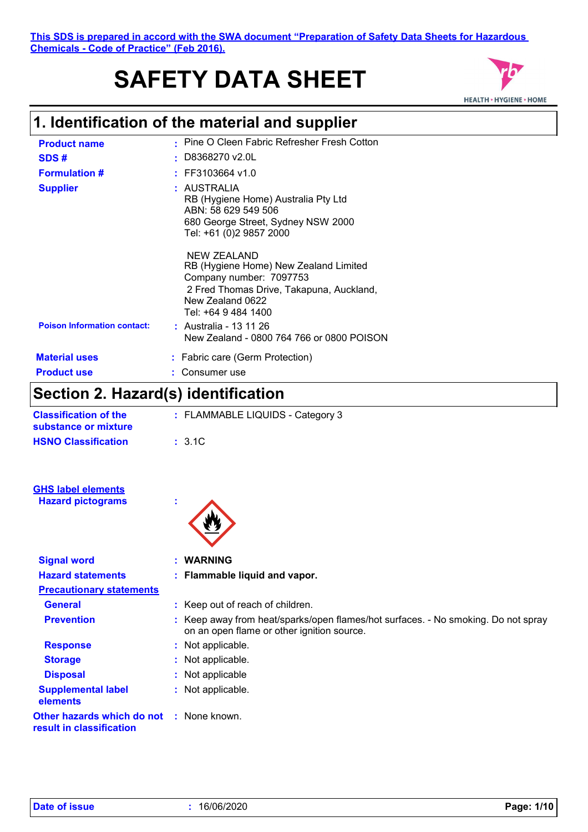#### **This SDS is prepared in accord with the SWA document "Preparation of Safety Data Sheets for Hazardous Chemicals - Code of Practice" (Feb 2016).**

# **SAFETY DATA SHEET**



## **1. Identification of the material and supplier**

| <b>Product name</b>                | • Pine O Cleen Fabric Refresher Fresh Cotton                                                                                                                           |
|------------------------------------|------------------------------------------------------------------------------------------------------------------------------------------------------------------------|
| SDS#                               | D8368270 v2.0L                                                                                                                                                         |
| <b>Formulation #</b>               | $:$ FF3103664 v1.0                                                                                                                                                     |
| <b>Supplier</b>                    | : AUSTRALIA<br>RB (Hygiene Home) Australia Pty Ltd<br>ABN: 58 629 549 506<br>680 George Street, Sydney NSW 2000<br>Tel: +61 (0)2 9857 2000                             |
|                                    | NEW ZEALAND<br>RB (Hygiene Home) New Zealand Limited<br>Company number: 7097753<br>2 Fred Thomas Drive, Takapuna, Auckland,<br>New Zealand 0622<br>Tel: +64 9 484 1400 |
| <b>Poison Information contact:</b> | : Australia - 13 11 26<br>New Zealand - 0800 764 766 or 0800 POISON                                                                                                    |
| <b>Material uses</b>               | : Fabric care (Germ Protection)                                                                                                                                        |
| <b>Product use</b>                 | Consumer use                                                                                                                                                           |

### **Section 2. Hazard(s) identification**

| <b>Classification of the</b><br>substance or mixture | : FLAMMABLE LIQUIDS - Category 3 |
|------------------------------------------------------|----------------------------------|
| <b>HSNO Classification</b>                           | $\pm$ 3.1C.                      |

| <b>GHS label elements</b> |  |
|---------------------------|--|
| <b>Hazard pictograms</b>  |  |



| <b>Signal word</b>                                                          | : WARNING                                                                                                                       |
|-----------------------------------------------------------------------------|---------------------------------------------------------------------------------------------------------------------------------|
| <b>Hazard statements</b>                                                    | : Flammable liquid and vapor.                                                                                                   |
| <b>Precautionary statements</b>                                             |                                                                                                                                 |
| <b>General</b>                                                              | : Keep out of reach of children.                                                                                                |
| <b>Prevention</b>                                                           | : Keep away from heat/sparks/open flames/hot surfaces. - No smoking. Do not spray<br>on an open flame or other ignition source. |
| <b>Response</b>                                                             | : Not applicable.                                                                                                               |
| <b>Storage</b>                                                              | : Not applicable.                                                                                                               |
| <b>Disposal</b>                                                             | : Not applicable                                                                                                                |
| <b>Supplemental label</b><br>elements                                       | : Not applicable.                                                                                                               |
| <b>Other hazards which do not : None known.</b><br>result in classification |                                                                                                                                 |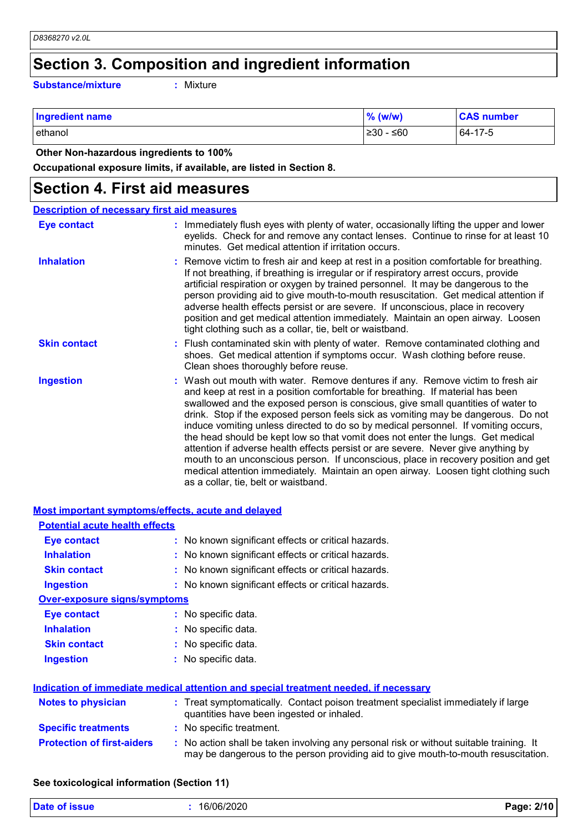## **Section 3. Composition and ingredient information**

**Substance/mixture :**

: Mixture

| <b>Ingredient name</b> | $%$ (w/w)           | <b>CAS number</b> |
|------------------------|---------------------|-------------------|
| ethanol                | $\geq 30 -$<br>∴≤60 | 64-17-5           |

 **Other Non-hazardous ingredients to 100%**

**Occupational exposure limits, if available, are listed in Section 8.**

#### **Section 4. First aid measures**

| <b>Description of necessary first aid measures</b> |                                                                                                                                                                                                                                                                                                                                                                                                                                                                                                                                                                                                                                                                                                                                                                                                                              |
|----------------------------------------------------|------------------------------------------------------------------------------------------------------------------------------------------------------------------------------------------------------------------------------------------------------------------------------------------------------------------------------------------------------------------------------------------------------------------------------------------------------------------------------------------------------------------------------------------------------------------------------------------------------------------------------------------------------------------------------------------------------------------------------------------------------------------------------------------------------------------------------|
| <b>Eye contact</b>                                 | : Immediately flush eyes with plenty of water, occasionally lifting the upper and lower<br>eyelids. Check for and remove any contact lenses. Continue to rinse for at least 10<br>minutes. Get medical attention if irritation occurs.                                                                                                                                                                                                                                                                                                                                                                                                                                                                                                                                                                                       |
| <b>Inhalation</b>                                  | : Remove victim to fresh air and keep at rest in a position comfortable for breathing.<br>If not breathing, if breathing is irregular or if respiratory arrest occurs, provide<br>artificial respiration or oxygen by trained personnel. It may be dangerous to the<br>person providing aid to give mouth-to-mouth resuscitation. Get medical attention if<br>adverse health effects persist or are severe. If unconscious, place in recovery<br>position and get medical attention immediately. Maintain an open airway. Loosen<br>tight clothing such as a collar, tie, belt or waistband.                                                                                                                                                                                                                                 |
| <b>Skin contact</b>                                | : Flush contaminated skin with plenty of water. Remove contaminated clothing and<br>shoes. Get medical attention if symptoms occur. Wash clothing before reuse.<br>Clean shoes thoroughly before reuse.                                                                                                                                                                                                                                                                                                                                                                                                                                                                                                                                                                                                                      |
| <b>Ingestion</b>                                   | : Wash out mouth with water. Remove dentures if any. Remove victim to fresh air<br>and keep at rest in a position comfortable for breathing. If material has been<br>swallowed and the exposed person is conscious, give small quantities of water to<br>drink. Stop if the exposed person feels sick as vomiting may be dangerous. Do not<br>induce vomiting unless directed to do so by medical personnel. If vomiting occurs,<br>the head should be kept low so that vomit does not enter the lungs. Get medical<br>attention if adverse health effects persist or are severe. Never give anything by<br>mouth to an unconscious person. If unconscious, place in recovery position and get<br>medical attention immediately. Maintain an open airway. Loosen tight clothing such<br>as a collar, tie, belt or waistband. |

| <b>Most important symptoms/effects, acute and delayed</b> |                                                                                                                                                                               |
|-----------------------------------------------------------|-------------------------------------------------------------------------------------------------------------------------------------------------------------------------------|
| <b>Potential acute health effects</b>                     |                                                                                                                                                                               |
| <b>Eye contact</b>                                        | : No known significant effects or critical hazards.                                                                                                                           |
| <b>Inhalation</b>                                         | : No known significant effects or critical hazards.                                                                                                                           |
| <b>Skin contact</b>                                       | : No known significant effects or critical hazards.                                                                                                                           |
| <b>Ingestion</b>                                          | : No known significant effects or critical hazards.                                                                                                                           |
| <b>Over-exposure signs/symptoms</b>                       |                                                                                                                                                                               |
| <b>Eye contact</b>                                        | : No specific data.                                                                                                                                                           |
| <b>Inhalation</b>                                         | : No specific data.                                                                                                                                                           |
| <b>Skin contact</b>                                       | : No specific data.                                                                                                                                                           |
| <b>Ingestion</b>                                          | : No specific data.                                                                                                                                                           |
|                                                           | <u>Indication of immediate medical attention and special treatment needed, if necessary</u>                                                                                   |
| <b>Notes to physician</b>                                 | : Treat symptomatically. Contact poison treatment specialist immediately if large<br>quantities have been ingested or inhaled.                                                |
| <b>Specific treatments</b>                                | : No specific treatment.                                                                                                                                                      |
| <b>Protection of first-aiders</b>                         | : No action shall be taken involving any personal risk or without suitable training. It<br>may be dangerous to the person providing aid to give mouth-to-mouth resuscitation. |
|                                                           |                                                                                                                                                                               |

#### **See toxicological information (Section 11)**

| <b>Date of issue</b> | 16/06/2020 | 2/10<br>Page: |
|----------------------|------------|---------------|
|                      |            |               |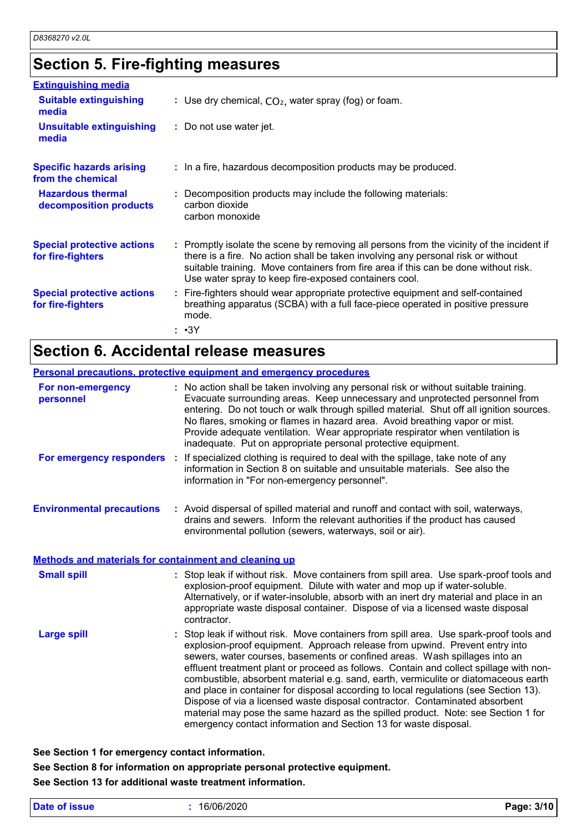### **Section 5. Fire-fighting measures**

| <b>Extinguishing media</b>                             |                                                                                                                                                                                                                                                                                                                               |
|--------------------------------------------------------|-------------------------------------------------------------------------------------------------------------------------------------------------------------------------------------------------------------------------------------------------------------------------------------------------------------------------------|
| <b>Suitable extinguishing</b><br>media                 | : Use dry chemical, $CO2$ , water spray (fog) or foam.                                                                                                                                                                                                                                                                        |
| <b>Unsuitable extinguishing</b><br>media               | : Do not use water jet.                                                                                                                                                                                                                                                                                                       |
| <b>Specific hazards arising</b><br>from the chemical   | : In a fire, hazardous decomposition products may be produced.                                                                                                                                                                                                                                                                |
| <b>Hazardous thermal</b><br>decomposition products     | : Decomposition products may include the following materials:<br>carbon dioxide<br>carbon monoxide                                                                                                                                                                                                                            |
| <b>Special protective actions</b><br>for fire-fighters | : Promptly isolate the scene by removing all persons from the vicinity of the incident if<br>there is a fire. No action shall be taken involving any personal risk or without<br>suitable training. Move containers from fire area if this can be done without risk.<br>Use water spray to keep fire-exposed containers cool. |
| <b>Special protective actions</b><br>for fire-fighters | : Fire-fighters should wear appropriate protective equipment and self-contained<br>breathing apparatus (SCBA) with a full face-piece operated in positive pressure<br>mode.                                                                                                                                                   |
|                                                        | : •3Y                                                                                                                                                                                                                                                                                                                         |

### **Section 6. Accidental release measures**

#### **Personal precautions, protective equipment and emergency procedures**

| For non-emergency<br>personnel                               | : No action shall be taken involving any personal risk or without suitable training.<br>Evacuate surrounding areas. Keep unnecessary and unprotected personnel from<br>entering. Do not touch or walk through spilled material. Shut off all ignition sources.<br>No flares, smoking or flames in hazard area. Avoid breathing vapor or mist.<br>Provide adequate ventilation. Wear appropriate respirator when ventilation is<br>inadequate. Put on appropriate personal protective equipment.                                                                                                                                                                                                                                                                       |  |
|--------------------------------------------------------------|-----------------------------------------------------------------------------------------------------------------------------------------------------------------------------------------------------------------------------------------------------------------------------------------------------------------------------------------------------------------------------------------------------------------------------------------------------------------------------------------------------------------------------------------------------------------------------------------------------------------------------------------------------------------------------------------------------------------------------------------------------------------------|--|
| For emergency responders                                     | If specialized clothing is required to deal with the spillage, take note of any<br>information in Section 8 on suitable and unsuitable materials. See also the<br>information in "For non-emergency personnel".                                                                                                                                                                                                                                                                                                                                                                                                                                                                                                                                                       |  |
| <b>Environmental precautions</b>                             | : Avoid dispersal of spilled material and runoff and contact with soil, waterways,<br>drains and sewers. Inform the relevant authorities if the product has caused<br>environmental pollution (sewers, waterways, soil or air).                                                                                                                                                                                                                                                                                                                                                                                                                                                                                                                                       |  |
| <b>Methods and materials for containment and cleaning up</b> |                                                                                                                                                                                                                                                                                                                                                                                                                                                                                                                                                                                                                                                                                                                                                                       |  |
| <b>Small spill</b>                                           | : Stop leak if without risk. Move containers from spill area. Use spark-proof tools and<br>explosion-proof equipment. Dilute with water and mop up if water-soluble.<br>Alternatively, or if water-insoluble, absorb with an inert dry material and place in an<br>appropriate waste disposal container. Dispose of via a licensed waste disposal<br>contractor.                                                                                                                                                                                                                                                                                                                                                                                                      |  |
| <b>Large spill</b>                                           | : Stop leak if without risk. Move containers from spill area. Use spark-proof tools and<br>explosion-proof equipment. Approach release from upwind. Prevent entry into<br>sewers, water courses, basements or confined areas. Wash spillages into an<br>effluent treatment plant or proceed as follows. Contain and collect spillage with non-<br>combustible, absorbent material e.g. sand, earth, vermiculite or diatomaceous earth<br>and place in container for disposal according to local regulations (see Section 13).<br>Dispose of via a licensed waste disposal contractor. Contaminated absorbent<br>material may pose the same hazard as the spilled product. Note: see Section 1 for<br>emergency contact information and Section 13 for waste disposal. |  |

**See Section 1 for emergency contact information.**

**See Section 8 for information on appropriate personal protective equipment. See Section 13 for additional waste treatment information.**

|  | Date of issue |  |
|--|---------------|--|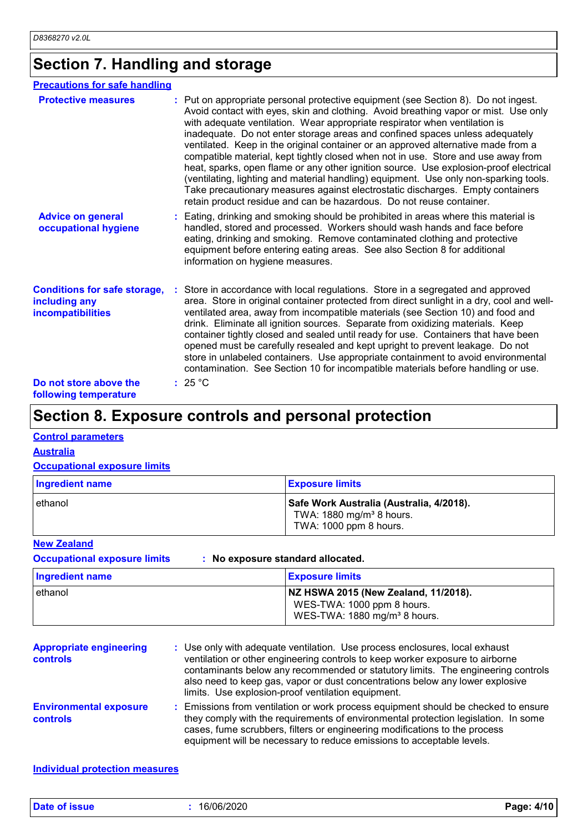### **Section 7. Handling and storage**

| <b>Precautions for safe handling</b>                                             |                                                                                                                                                                                                                                                                                                                                                                                                                                                                                                                                                                                                                                                                                                                                                                                                                                                               |
|----------------------------------------------------------------------------------|---------------------------------------------------------------------------------------------------------------------------------------------------------------------------------------------------------------------------------------------------------------------------------------------------------------------------------------------------------------------------------------------------------------------------------------------------------------------------------------------------------------------------------------------------------------------------------------------------------------------------------------------------------------------------------------------------------------------------------------------------------------------------------------------------------------------------------------------------------------|
| <b>Protective measures</b>                                                       | : Put on appropriate personal protective equipment (see Section 8). Do not ingest.<br>Avoid contact with eyes, skin and clothing. Avoid breathing vapor or mist. Use only<br>with adequate ventilation. Wear appropriate respirator when ventilation is<br>inadequate. Do not enter storage areas and confined spaces unless adequately<br>ventilated. Keep in the original container or an approved alternative made from a<br>compatible material, kept tightly closed when not in use. Store and use away from<br>heat, sparks, open flame or any other ignition source. Use explosion-proof electrical<br>(ventilating, lighting and material handling) equipment. Use only non-sparking tools.<br>Take precautionary measures against electrostatic discharges. Empty containers<br>retain product residue and can be hazardous. Do not reuse container. |
| <b>Advice on general</b><br>occupational hygiene                                 | : Eating, drinking and smoking should be prohibited in areas where this material is<br>handled, stored and processed. Workers should wash hands and face before<br>eating, drinking and smoking. Remove contaminated clothing and protective<br>equipment before entering eating areas. See also Section 8 for additional<br>information on hygiene measures.                                                                                                                                                                                                                                                                                                                                                                                                                                                                                                 |
| <b>Conditions for safe storage,</b><br>including any<br><b>incompatibilities</b> | Store in accordance with local regulations. Store in a segregated and approved<br>area. Store in original container protected from direct sunlight in a dry, cool and well-<br>ventilated area, away from incompatible materials (see Section 10) and food and<br>drink. Eliminate all ignition sources. Separate from oxidizing materials. Keep<br>container tightly closed and sealed until ready for use. Containers that have been<br>opened must be carefully resealed and kept upright to prevent leakage. Do not<br>store in unlabeled containers. Use appropriate containment to avoid environmental<br>contamination. See Section 10 for incompatible materials before handling or use.                                                                                                                                                              |
| Do not store above the<br>following temperature                                  | : 25 °C                                                                                                                                                                                                                                                                                                                                                                                                                                                                                                                                                                                                                                                                                                                                                                                                                                                       |

### **Section 8. Exposure controls and personal protection**

#### **Control parameters**

**Australia**

#### **Occupational exposure limits**

| Ingredient name | <b>Exposure limits</b>                                                                                     |
|-----------------|------------------------------------------------------------------------------------------------------------|
| ethanol         | Safe Work Australia (Australia, 4/2018).<br>TWA: 1880 mg/m <sup>3</sup> 8 hours.<br>TWA: 1000 ppm 8 hours. |

#### **New Zealand**

**Occupational exposure limits : No exposure standard allocated.**

| Ingredient name | <b>Exposure limits</b>                                                                                         |
|-----------------|----------------------------------------------------------------------------------------------------------------|
| ethanol         | NZ HSWA 2015 (New Zealand, 11/2018).<br>WES-TWA: 1000 ppm 8 hours.<br>WES-TWA: 1880 mg/m <sup>3</sup> 8 hours. |

| <b>Appropriate engineering</b><br>controls | : Use only with adequate ventilation. Use process enclosures, local exhaust<br>ventilation or other engineering controls to keep worker exposure to airborne<br>contaminants below any recommended or statutory limits. The engineering controls<br>also need to keep gas, vapor or dust concentrations below any lower explosive<br>limits. Use explosion-proof ventilation equipment. |
|--------------------------------------------|-----------------------------------------------------------------------------------------------------------------------------------------------------------------------------------------------------------------------------------------------------------------------------------------------------------------------------------------------------------------------------------------|
| <b>Environmental exposure</b><br>controls  | : Emissions from ventilation or work process equipment should be checked to ensure<br>they comply with the requirements of environmental protection legislation. In some<br>cases, fume scrubbers, filters or engineering modifications to the process<br>equipment will be necessary to reduce emissions to acceptable levels.                                                         |

#### **Individual protection measures**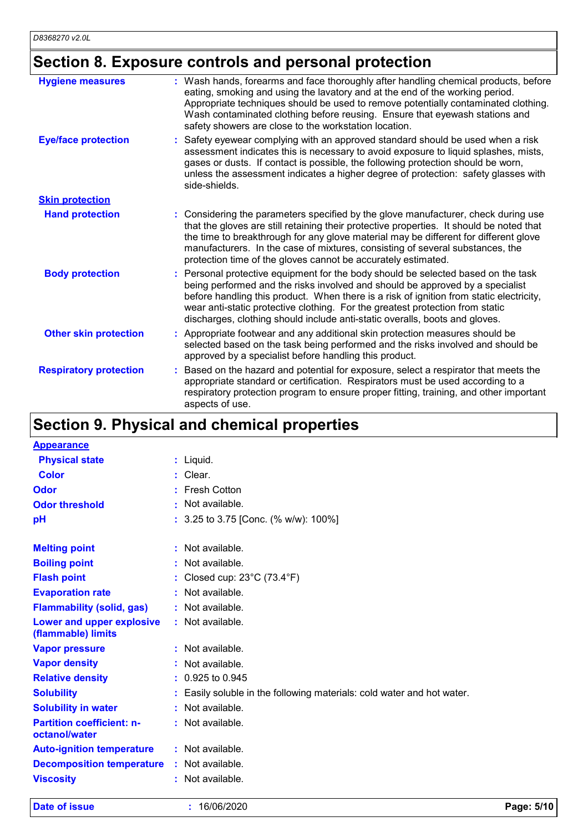## **Section 8. Exposure controls and personal protection**

| <b>Hygiene measures</b>       | : Wash hands, forearms and face thoroughly after handling chemical products, before<br>eating, smoking and using the lavatory and at the end of the working period.<br>Appropriate techniques should be used to remove potentially contaminated clothing.<br>Wash contaminated clothing before reusing. Ensure that eyewash stations and<br>safety showers are close to the workstation location.                           |
|-------------------------------|-----------------------------------------------------------------------------------------------------------------------------------------------------------------------------------------------------------------------------------------------------------------------------------------------------------------------------------------------------------------------------------------------------------------------------|
| <b>Eye/face protection</b>    | Safety eyewear complying with an approved standard should be used when a risk<br>assessment indicates this is necessary to avoid exposure to liquid splashes, mists,<br>gases or dusts. If contact is possible, the following protection should be worn,<br>unless the assessment indicates a higher degree of protection: safety glasses with<br>side-shields.                                                             |
| <b>Skin protection</b>        |                                                                                                                                                                                                                                                                                                                                                                                                                             |
| <b>Hand protection</b>        | : Considering the parameters specified by the glove manufacturer, check during use<br>that the gloves are still retaining their protective properties. It should be noted that<br>the time to breakthrough for any glove material may be different for different glove<br>manufacturers. In the case of mixtures, consisting of several substances, the<br>protection time of the gloves cannot be accurately estimated.    |
| <b>Body protection</b>        | Personal protective equipment for the body should be selected based on the task<br>being performed and the risks involved and should be approved by a specialist<br>before handling this product. When there is a risk of ignition from static electricity,<br>wear anti-static protective clothing. For the greatest protection from static<br>discharges, clothing should include anti-static overalls, boots and gloves. |
| <b>Other skin protection</b>  | Appropriate footwear and any additional skin protection measures should be<br>selected based on the task being performed and the risks involved and should be<br>approved by a specialist before handling this product.                                                                                                                                                                                                     |
| <b>Respiratory protection</b> | Based on the hazard and potential for exposure, select a respirator that meets the<br>appropriate standard or certification. Respirators must be used according to a<br>respiratory protection program to ensure proper fitting, training, and other important<br>aspects of use.                                                                                                                                           |

### **Section 9. Physical and chemical properties**

| <b>Appearance</b>                                 |    |                                                                      |
|---------------------------------------------------|----|----------------------------------------------------------------------|
| <b>Physical state</b>                             |    | $:$ Liquid.                                                          |
| Color                                             |    | Clear.                                                               |
| Odor                                              |    | <b>Fresh Cotton</b>                                                  |
| <b>Odor threshold</b>                             |    | Not available.                                                       |
| pH                                                | t. | 3.25 to 3.75 [Conc. (% w/w): 100%]                                   |
|                                                   |    | : Not available.                                                     |
| <b>Melting point</b>                              |    |                                                                      |
| <b>Boiling point</b>                              | ÷. | Not available.                                                       |
| <b>Flash point</b>                                |    | Closed cup: $23^{\circ}$ C (73.4 $^{\circ}$ F)                       |
| <b>Evaporation rate</b>                           | t. | Not available.                                                       |
| <b>Flammability (solid, gas)</b>                  |    | $:$ Not available.                                                   |
| Lower and upper explosive<br>(flammable) limits   |    | : Not available.                                                     |
| <b>Vapor pressure</b>                             |    | : Not available.                                                     |
| <b>Vapor density</b>                              |    | Not available.                                                       |
| <b>Relative density</b>                           |    | 0.925 to 0.945                                                       |
| <b>Solubility</b>                                 |    | Easily soluble in the following materials: cold water and hot water. |
| <b>Solubility in water</b>                        |    | : Not available.                                                     |
| <b>Partition coefficient: n-</b><br>octanol/water |    | : Not available.                                                     |
| <b>Auto-ignition temperature</b>                  |    | : Not available.                                                     |
| <b>Decomposition temperature</b>                  |    | : Not available.                                                     |
| <b>Viscosity</b>                                  |    | : Not available.                                                     |

**Date of issue :** 16/06/2020 **Page: 5/10**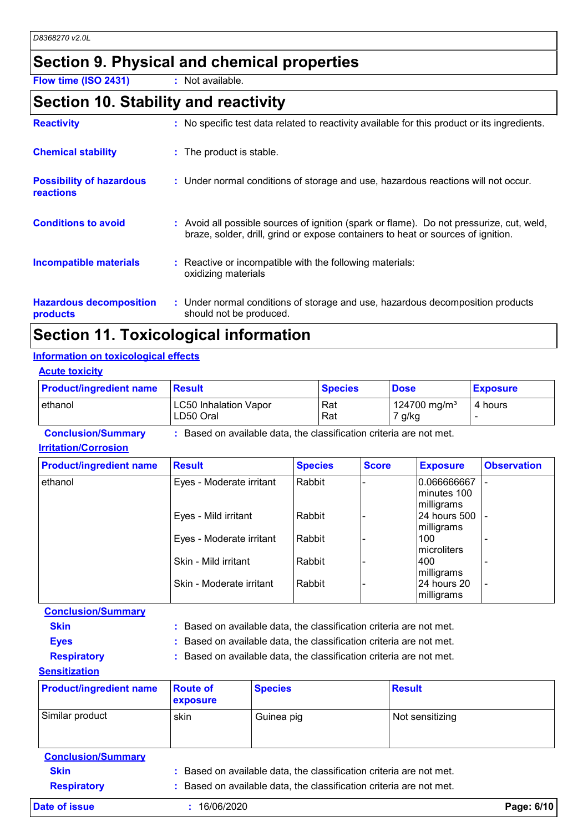### **Section 9. Physical and chemical properties**

**Flow time (ISO 2431) :** Not available.

## **Section 10. Stability and reactivity**

| <b>Reactivity</b>                            | : No specific test data related to reactivity available for this product or its ingredients.                                                                                 |
|----------------------------------------------|------------------------------------------------------------------------------------------------------------------------------------------------------------------------------|
| <b>Chemical stability</b>                    | : The product is stable.                                                                                                                                                     |
| <b>Possibility of hazardous</b><br>reactions | : Under normal conditions of storage and use, hazardous reactions will not occur.                                                                                            |
| <b>Conditions to avoid</b>                   | : Avoid all possible sources of ignition (spark or flame). Do not pressurize, cut, weld,<br>braze, solder, drill, grind or expose containers to heat or sources of ignition. |
| <b>Incompatible materials</b>                | : Reactive or incompatible with the following materials:<br>oxidizing materials                                                                                              |
| <b>Hazardous decomposition</b><br>products   | : Under normal conditions of storage and use, hazardous decomposition products<br>should not be produced.                                                                    |

### **Section 11. Toxicological information**

#### **Information on toxicological effects**

| <b>Acute toxicity</b> |
|-----------------------|
|-----------------------|

| <b>Product/ingredient name</b> | <u> Result</u>                            | <b>Species</b> | <b>Dose</b>                        | <b>Exposure</b> |
|--------------------------------|-------------------------------------------|----------------|------------------------------------|-----------------|
| lethanol                       | <b>LC50 Inhalation Vapor</b><br>LD50 Oral | Rat<br>Rat     | 124700 mg/m <sup>3</sup><br>7 g/kg | 4 hours         |

| <b>Conclusion/Summary</b>   | : Based on available data, the classification criteria are not met. |
|-----------------------------|---------------------------------------------------------------------|
| <b>Irritation/Corrosion</b> |                                                                     |

| <b>Product/ingredient name</b> | <b>Result</b>            | <b>Species</b> | <b>Score</b> | <b>Exposure</b>                                   | <b>Observation</b> |
|--------------------------------|--------------------------|----------------|--------------|---------------------------------------------------|--------------------|
| ethanol                        | Eyes - Moderate irritant | Rabbit         |              | 0.066666667<br>lminutes 100<br><b>Imilligrams</b> |                    |
|                                | Eyes - Mild irritant     | Rabbit         |              | 24 hours 500<br>milligrams                        |                    |
|                                | Eyes - Moderate irritant | l Rabbit       |              | 100<br>microliters                                |                    |
|                                | Skin - Mild irritant     | Rabbit         |              | 400<br>milligrams                                 |                    |
|                                | Skin - Moderate irritant | Rabbit         |              | l24 hours 20<br>milligrams                        |                    |

**Conclusion/Summary**

| Skin |  | : Based on available data, the classification criteria are not met. |  |
|------|--|---------------------------------------------------------------------|--|
|------|--|---------------------------------------------------------------------|--|

- **Eyes :** Based on available data, the classification criteria are not met.
- **Respiratory :** Based on available data, the classification criteria are not met.

**Sensitization**

| <b>Product/ingredient name</b> | <b>Route of</b><br><b>exposure</b> | <b>Species</b> | <b>Result</b>   |
|--------------------------------|------------------------------------|----------------|-----------------|
| Similar product                | skin                               | Guinea pig     | Not sensitizing |

**Conclusion/Summary Skin :** Based on available data, the classification criteria are not met. **Respiratory :** Based on available data, the classification criteria are not met. **Date of issue :** 16/06/2020 **Page: 6/10**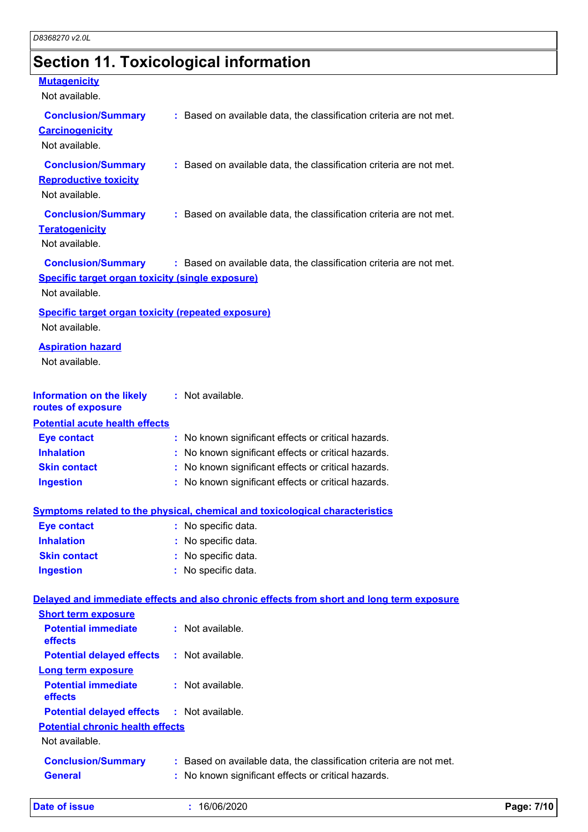## **Section 11. Toxicological information**

#### **Mutagenicity**

Not available.

| <u>ivul avaliable.</u>                                                      |                                                                                          |
|-----------------------------------------------------------------------------|------------------------------------------------------------------------------------------|
| <b>Conclusion/Summary</b><br><b>Carcinogenicity</b><br>Not available.       | : Based on available data, the classification criteria are not met.                      |
| <b>Conclusion/Summary</b><br><b>Reproductive toxicity</b><br>Not available. | : Based on available data, the classification criteria are not met.                      |
| <b>Conclusion/Summary</b><br><b>Teratogenicity</b><br>Not available.        | : Based on available data, the classification criteria are not met.                      |
| <b>Conclusion/Summary</b>                                                   | : Based on available data, the classification criteria are not met.                      |
| Specific target organ toxicity (single exposure)                            |                                                                                          |
| Not available.                                                              |                                                                                          |
| <b>Specific target organ toxicity (repeated exposure)</b><br>Not available. |                                                                                          |
| <b>Aspiration hazard</b><br>Not available.                                  |                                                                                          |
| <b>Information on the likely</b><br>routes of exposure                      | : Not available.                                                                         |
| <b>Potential acute health effects</b>                                       |                                                                                          |
| <b>Eye contact</b>                                                          | : No known significant effects or critical hazards.                                      |
| <b>Inhalation</b>                                                           | No known significant effects or critical hazards.                                        |
| <b>Skin contact</b>                                                         | : No known significant effects or critical hazards.                                      |
| <b>Ingestion</b>                                                            | : No known significant effects or critical hazards.                                      |
|                                                                             | <b>Symptoms related to the physical, chemical and toxicological characteristics</b>      |
| <b>Eye contact</b>                                                          | : No specific data.                                                                      |
| <b>Inhalation</b>                                                           | No specific data.                                                                        |
| <b>Skin contact</b>                                                         | No specific data.                                                                        |
| <b>Ingestion</b>                                                            | : No specific data.                                                                      |
|                                                                             | Delayed and immediate effects and also chronic effects from short and long term exposure |
| <b>Short term exposure</b>                                                  |                                                                                          |
| <b>Potential immediate</b><br>effects                                       | : Not available.                                                                         |
| <b>Potential delayed effects</b>                                            | : Not available.                                                                         |
| <b>Long term exposure</b>                                                   |                                                                                          |
| <b>Potential immediate</b><br>effects                                       | : Not available.                                                                         |
| <b>Potential delayed effects</b>                                            | : Not available.                                                                         |
| <b>Potential chronic health effects</b><br>Not available.                   |                                                                                          |
| <b>Conclusion/Summary</b>                                                   | : Based on available data, the classification criteria are not met.                      |
| <b>General</b>                                                              | : No known significant effects or critical hazards.                                      |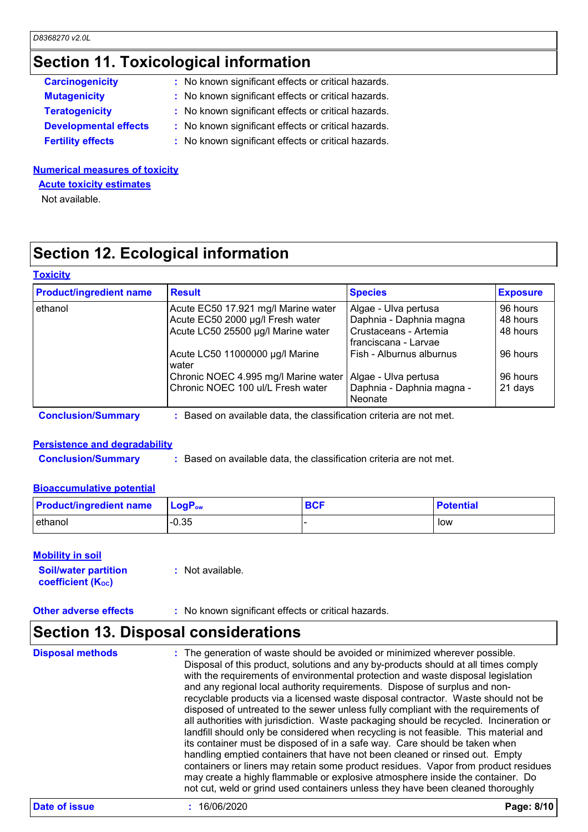### **Section 11. Toxicological information**

| <b>Carcinogenicity</b>       | : No known significant effects or critical hazards. |  |
|------------------------------|-----------------------------------------------------|--|
| <b>Mutagenicity</b>          | : No known significant effects or critical hazards. |  |
| <b>Teratogenicity</b>        | : No known significant effects or critical hazards. |  |
| <b>Developmental effects</b> | : No known significant effects or critical hazards. |  |
| <b>Fertility effects</b>     | : No known significant effects or critical hazards. |  |
|                              |                                                     |  |

#### **Numerical measures of toxicity**

**Acute toxicity estimates**

Not available.

### **Section 12. Ecological information**

#### **Toxicity**

| <b>Product/ingredient name</b> | <b>Result</b>                                                     | <b>Species</b>                                | <b>Exposure</b> |  |
|--------------------------------|-------------------------------------------------------------------|-----------------------------------------------|-----------------|--|
| ethanol                        | Acute EC50 17.921 mg/l Marine water                               | Algae - Ulva pertusa                          | 96 hours        |  |
|                                | Acute EC50 2000 µg/l Fresh water                                  | Daphnia - Daphnia magna                       | 48 hours        |  |
|                                | Acute LC50 25500 µg/l Marine water                                | Crustaceans - Artemia<br>franciscana - Larvae | 48 hours        |  |
|                                | Acute LC50 11000000 µg/l Marine<br>water                          | Fish - Alburnus alburnus                      | 96 hours        |  |
|                                | Chronic NOEC 4.995 mg/l Marine water                              | Algae - Ulva pertusa                          | 96 hours        |  |
|                                | Chronic NOEC 100 ul/L Fresh water                                 | Daphnia - Daphnia magna -<br><b>Neonate</b>   | 21 days         |  |
| <b>Conclusion/Summary</b>      | Based on available data, the classification criteria are not met. |                                               |                 |  |

### **Persistence and degradability**

**Conclusion/Summary :** Based on available data, the classification criteria are not met.

#### **Bioaccumulative potential**

| <b>Product/ingredient name</b> | $\mathsf{LogP}_\mathsf{ow}$ | <b>BCF</b> | <b>Potential</b> |
|--------------------------------|-----------------------------|------------|------------------|
| l ethanol                      | $-0.35$                     |            | low              |

#### **Mobility in soil**

| <b>Soil/water partition</b> | $:$ Not available. |
|-----------------------------|--------------------|
| <b>coefficient (Koc)</b>    |                    |

**Other adverse effects** : No known significant effects or critical hazards.

#### **Section 13. Disposal considerations**

The generation of waste should be avoided or minimized wherever possible. Disposal of this product, solutions and any by-products should at all times comply with the requirements of environmental protection and waste disposal legislation and any regional local authority requirements. Dispose of surplus and nonrecyclable products via a licensed waste disposal contractor. Waste should not be disposed of untreated to the sewer unless fully compliant with the requirements of all authorities with jurisdiction. Waste packaging should be recycled. Incineration or landfill should only be considered when recycling is not feasible. This material and its container must be disposed of in a safe way. Care should be taken when handling emptied containers that have not been cleaned or rinsed out. Empty containers or liners may retain some product residues. Vapor from product residues may create a highly flammable or explosive atmosphere inside the container. Do not cut, weld or grind used containers unless they have been cleaned thoroughly **Disposal methods :**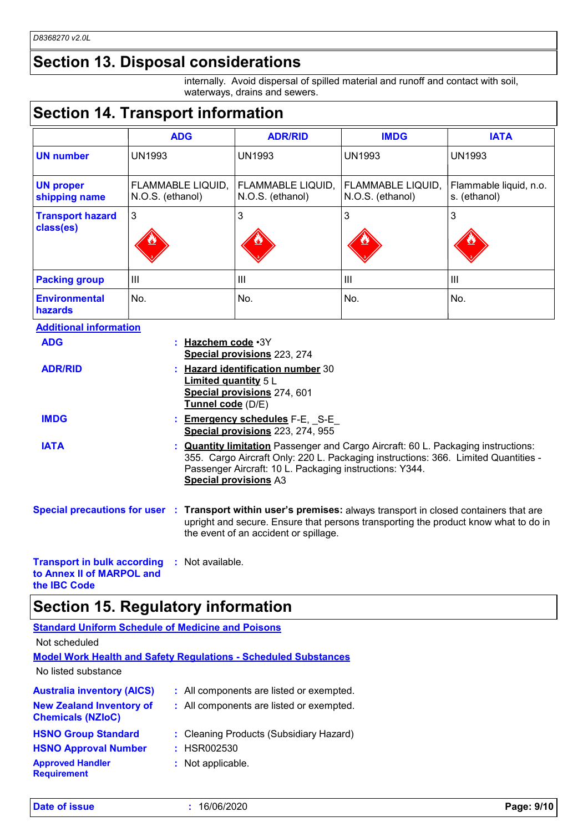### **Section 13. Disposal considerations**

internally. Avoid dispersal of spilled material and runoff and contact with soil, waterways, drains and sewers.

### **Section 14. Transport information**

|                                      | <b>ADG</b>                            | <b>ADR/RID</b>                        | <b>IMDG</b>                           | <b>IATA</b>                            |
|--------------------------------------|---------------------------------------|---------------------------------------|---------------------------------------|----------------------------------------|
| <b>UN number</b>                     | <b>UN1993</b>                         | <b>UN1993</b>                         | <b>UN1993</b>                         | <b>UN1993</b>                          |
| <b>UN proper</b><br>shipping name    | FLAMMABLE LIQUID,<br>N.O.S. (ethanol) | FLAMMABLE LIQUID,<br>N.O.S. (ethanol) | FLAMMABLE LIQUID,<br>N.O.S. (ethanol) | Flammable liquid, n.o.<br>s. (ethanol) |
| <b>Transport hazard</b><br>class(es) | 3                                     | 3                                     | 3                                     | 3                                      |
| <b>Packing group</b>                 | Ш                                     | III                                   | Ш                                     | III                                    |
| <b>Environmental</b><br>hazards      | No.                                   | No.                                   | No.                                   | No.                                    |

| <b>Additional information</b>                                   |                                                                                                                                                                                                                                                                           |
|-----------------------------------------------------------------|---------------------------------------------------------------------------------------------------------------------------------------------------------------------------------------------------------------------------------------------------------------------------|
| <b>ADG</b>                                                      | : Hazchem code · 3Y<br>Special provisions 223, 274                                                                                                                                                                                                                        |
| <b>ADR/RID</b>                                                  | <b>Hazard identification number 30</b><br><b>Limited quantity 5 L</b><br>Special provisions 274, 601<br>Tunnel code (D/E)                                                                                                                                                 |
| <b>IMDG</b>                                                     | : <b>Emergency schedules</b> F-E, S-E<br>Special provisions 223, 274, 955                                                                                                                                                                                                 |
| <b>IATA</b>                                                     | : <b>Quantity limitation</b> Passenger and Cargo Aircraft: 60 L. Packaging instructions:<br>355. Cargo Aircraft Only: 220 L. Packaging instructions: 366. Limited Quantities -<br>Passenger Aircraft: 10 L. Packaging instructions: Y344.<br><b>Special provisions A3</b> |
|                                                                 | Special precautions for user : Transport within user's premises: always transport in closed containers that are<br>upright and secure. Ensure that persons transporting the product know what to do in<br>the event of an accident or spillage.                           |
| <b>Transport in bulk according</b><br>to Annex II of MARPOL and | : Not available.                                                                                                                                                                                                                                                          |

## **Section 15. Regulatory information**

| <b>Standard Uniform Schedule of Medicine and Poisons</b>    |                                                                        |
|-------------------------------------------------------------|------------------------------------------------------------------------|
| Not scheduled                                               |                                                                        |
|                                                             | <b>Model Work Health and Safety Regulations - Scheduled Substances</b> |
| No listed substance                                         |                                                                        |
| <b>Australia inventory (AICS)</b>                           | : All components are listed or exempted.                               |
| <b>New Zealand Inventory of</b><br><b>Chemicals (NZIoC)</b> | : All components are listed or exempted.                               |
| <b>HSNO Group Standard</b>                                  | : Cleaning Products (Subsidiary Hazard)                                |
| <b>HSNO Approval Number</b>                                 | : HSR002530                                                            |
| <b>Approved Handler</b><br><b>Requirement</b>               | : Not applicable.                                                      |

**the IBC Code**